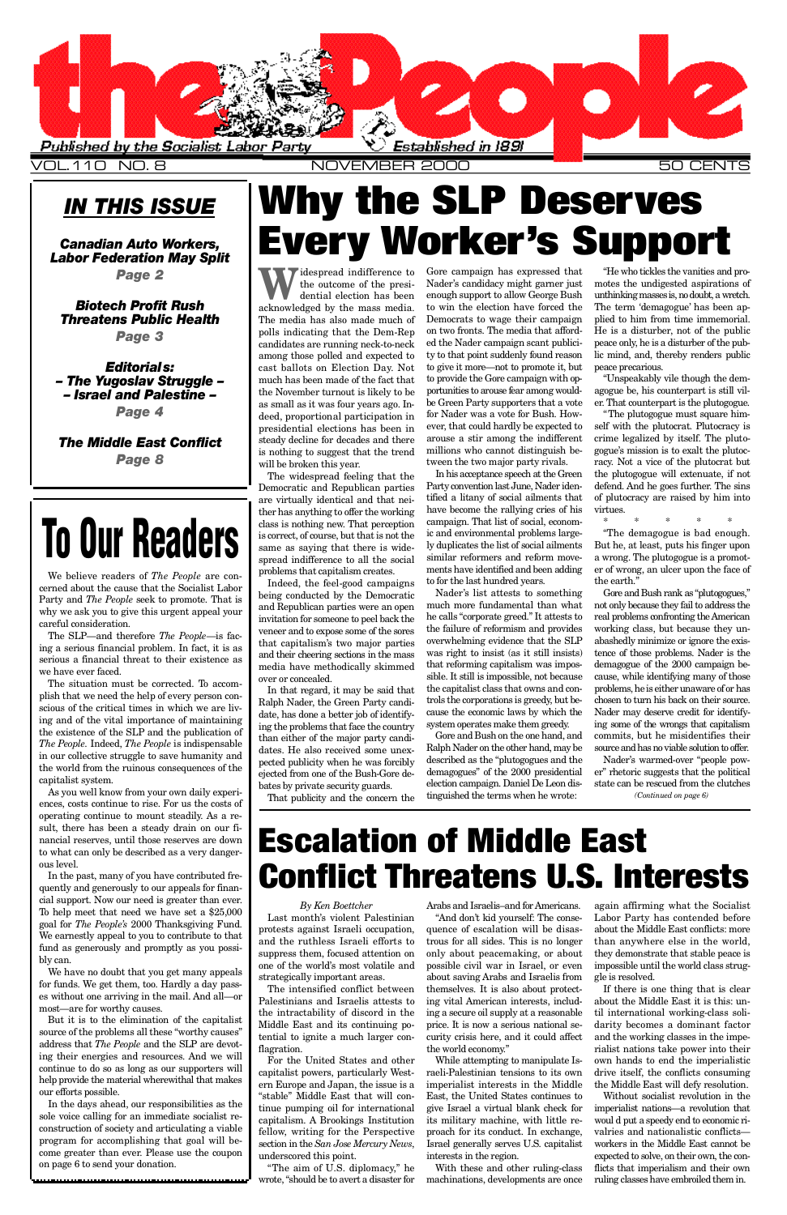## *IN THIS ISSUE*

*Canadian Auto Workers, Labor Federation May Split*

*Page 2*

*Biotech Profit Rush* **Threatens Public Health** *Page 3*

*Editorials: – The Yugoslav Struggle – – Israel and Palestine – Page 4*

*The Middle East Conflict Page 8*

> The intensified conflict between Palestinians and Israelis attests to the intractability of discord in the Middle East and its continuing potential to ignite a much larger conflagration.

#### *By Ken Boettcher*

Last month's violent Palestinian protests against Israeli occupation, and the ruthless Israeli efforts to suppress them, focused attention on one of the world's most volatile and strategically important areas.

For the United States and other capitalist powers, particularly Western Europe and Japan, the issue is a "stable" Middle East that will continue pumping oil for international capitalism. A Brookings Institution fellow, writing for the Perspective section in the *San Jose Mercury News*, underscored this point.

"The aim of U.S. diplomacy," he wrote, "should be to avert a disaster for

#### Arabs and Israelis–and for Americans.

"And don't kid yourself: The consequence of escalation will be disastrous for all sides. This is no longer only about peacemaking, or about possible civil war in Israel, or even about saving Arabs and Israelis from themselves. It is also about protecting vital American interests, including a secure oil supply at a reasonable price. It is now a serious national security crisis here, and it could affect the world economy. "

Widespread indifference to<br>the outcome of the presi-<br>expressiveled by the mass media the outcome of the presidential election has been acknowledged by the mass media. The media has also made much of polls indicating that the Dem-Rep candidates are running neck-to-neck among those polled and expected to cast ballots on Election Day. Not much has been made of the fact that the November turnout is likely to be as small as it was four years ago. Indeed, proportional participation in presidential elections has been in steady decline for decades and there is nothing to suggest that the trend will be broken this year.

> While attempting to manipulate Israeli-Palestinian tensions to its own imperialist interests in the Middle East, the United States continues to give Israel a virtual blank check for its military machine, with little reproach for its conduct. In exchange, Israel generally serves U.S. capitalist interests in the region.

Indeed, the feel-good campaigns being conducted by the Democratic and Republican parties were an open invitation for someone to peel back the veneer and to expose some of the sores that capitalism's two major parties and their cheering sections in the mass media have methodically skimmed over or concealed.

> With these and other ruling-class machinations, developments are once

again affirming what the Socialist Labor Party has contended before about the Middle East conflicts: more than anywhere else in the world, they demonstrate that stable peace is impossible until the world class struggle is resolved.

If there is one thing that is clear about the Middle East it is this: until international working-class solidarity becomes a dominant factor and the working classes in the imperialist nations take power into their own hands to end the imperialistic drive itself, the conflicts consuming the Middle East will defy resolution.

Without socialist revolution in the imperialist nations—a revolution that woul d put a speedy end to economic rivalries and nationalistic conflicts workers in the Middle East cannot be expected to solve, on their own, the conflicts that imperialism and their own ruling classes have embroiled them in.



V OL.110 NO. 8 NOVEMBER 2000 50 CENTS

Nader's list attests to something much more fundamental than what he calls "corporate greed." It attests to the failure of reformism and provides overwhelming evidence that the SLP was right to insist (as it still insists) that reforming capitalism was impossible. It still is impossible, not because the capitalist class that owns and controls the corporations is greedy, but because the economic laws by which the system operates make them greedy.

Gore and Bush on the one hand, and Ralph Nader on the other hand, may be described as the "plutogogues and the demagogues" of the 2000 presidential election campaign. Daniel De Leon distinguished the terms when he wrote:

"Unspeakably vile though the demagogue be, his counterpart is still viler. That counterpart is the plutogogue.

"The plutogogue must square himself with the plutocrat. Plutocracy is crime legalized by itself. The plutogogue's mission is to exalt the plutocracy. Not a vice of the plutocrat but the plutogogue will extenuate, if not defend. And he goes further. The sins of plutocracy are raised by him into virtues.

The widespread feeling that the Democratic and Republican parties are virtually identical and that neither has anything to offer the working class is nothing new. That perception is correct, of course, but that is not the same as saying that there is widespread indifference to all the social problems that capitalism creates.

> Gore and Bush rank as "plutogogues," not only because they fail to address the real problems confronting the American working class, but because they unabashedly minimize or ignore the existence of those problems. Nader is the demagogue of the 2000 campaign because, while identifying many of those problems, he is either unaware of or has chosen to turn his back on their source. Nader may deserve credit for identifying some of the wrongs that capitalism commits, but he misidentifies their source and has no viable solution to offer.

The SLP—and therefore *The People*—is facing a serious financial problem. In fact, it is as serious a financial threat to their existence as we have ever faced

> In that regard, it may be said that Ralph Nader, the Green Party candidate, has done a better job of identifying the problems that face the country than either of the major party candidates. He also received some unexpected publicity when he was forcibly ejected from one of the Bush-Gore debates by private security guards.

That publicity and the concern the

Gore campaign has expressed that Nader's candidacy might garner just enough support to allow George Bush to win the election have forced the Democrats to wage their campaign on two fronts. The media that afforded the Nader campaign scant publicity to that point suddenly found reason to give it more—not to promote it, but to provide the Gore campaign with opportunities to arouse fear among wouldbe Green Party supporters that a vote for Nader was a vote for Bush. However, that could hardly be expected to arouse a stir among the indifferent millions who cannot distinguish between the two major party rivals.

> Nader's warmed-over "people power" rhetoric suggests that the political state can be rescued from the clutches *(Continued on page 6)*

In his acceptance speech at the Green Party convention last June, Nader identified a litany of social ailments that have become the rallying cries of his campaign. That list of social, economic and environmental problems largely duplicates the list of social ailments similar reformers and reform movements have identified and been adding to for the last hundred years.

"He who tickles the vanities and promotes the undigested aspirations of unthinking masses is, no doubt, a wretch. The term 'demagogue' has been applied to him from time immemorial. He is a disturber, not of the public peace only, he is a disturber of the public mind, and, thereby renders public peace precarious.

\* \* \* \* \*

"The demagogue is bad enough. But he, at least, puts his finger upon a wrong. The plutogogue is a promoter of wrong, an ulcer upon the face of the earth."

We believe readers of *The People* are concerned about the cause that the Socialist Labor Party and *The People* seek to promote. That is why we ask you to give this urgent appeal your careful consideration.

The situation must be corrected. To accomplish that we need the help of every person conscious of the critical times in which we are living and of the vital importance of maintaining the existence of the SLP and the publication of *The People.* Indeed, *The People* is indispensable in our collective struggle to save humanity and the world from the ruinous consequences of the capitalist system.

As you well know from your own daily experiences, costs continue to rise. For us the costs of operating continue to mount steadily. As a result, there has been a steady drain on our financial reserves, until those reserves are down to what can only be described as a very dangerous level.

In the past, many of you have contributed frequently and generously to our appeals for financial support. Now our need is greater than ever. To help meet that need we have set a \$25,000 goal for *The People's* 2000 Thanksgiving Fund. We earnestly appeal to you to contribute to that fund as generously and promptly as you possibly can.

## **Why the SLP Deserves Every Worker's Support**

We have no doubt that you get many appeals for funds. We get them, too. Hardly a day passes without one arriving in the mail. And all—or most—are for worthy causes.

But it is to the elimination of the capitalist source of the problems all these "worthy causes" address that *The People* and the SLP are devoting their energies and resources. And we will continue to do so as long as our supporters will help provide the material wherewithal that makes our efforts possible.

In the days ahead, our responsibilities as the sole voice calling for an immediate socialist reconstruction of society and articulating a viable program for accomplishing that goal will become greater than ever. Please use the coupon on page 6 to send your donation.

## **Escalation of Middle East Conflict Threatens U.S. Interests**

# **To Our Readers**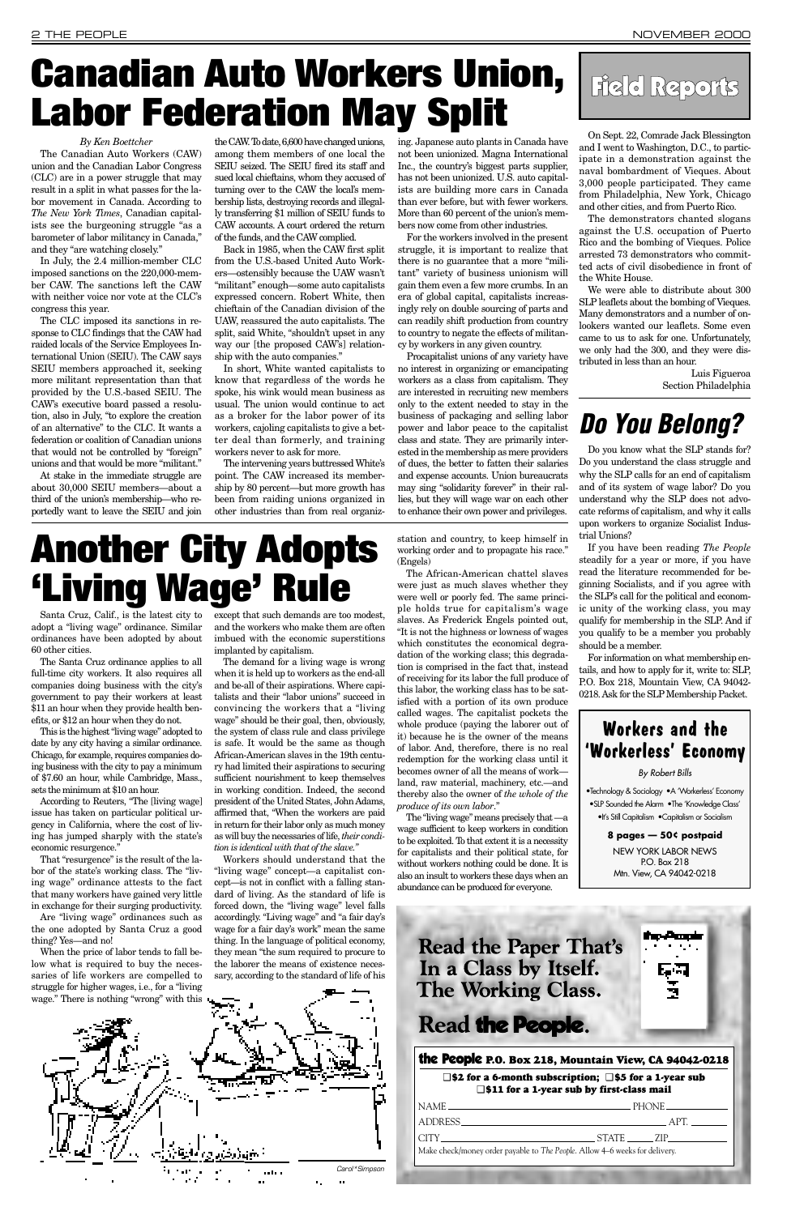Santa Cruz, Calif., is the latest city to adopt a "living wage" ordinance. Similar ordinances have been adopted by about 60 other cities.

The Santa Cruz ordinance applies to all full-time city workers. It also requires all companies doing business with the city's government to pay their workers at least \$11 an hour when they provide health benefits, or \$12 an hour when they do not.

According to Reuters, "The Iliving wage] issue has taken on particular political urgency in California, where the cost of living has jumped sharply with the state's economic resurgence."

This is the highest "living wage" adopted to date by any city having a similar ordinance. Chicago, for example, requires companies doing business with the city to pay a minimum of \$7.60 an hour, while Cambridge, Mass., sets the minimum at \$10 an hour.

That "resurgence" is the result of the labor of the state's working class. The "living wage" ordinance attests to the fact that many workers have gained very little in exchange for their surging productivity. Are "living wage" ordinances such as the one adopted by Santa Cruz a good thing? Yes—and no! When the price of labor tends to fall below what is required to buy the necessaries of life workers are compelled to struggle for higher wages, i.e., for a "living

except that such demands are too modest, and the workers who make them are often imbued with the economic superstitions implanted by capitalism.

The demand for a living wage is wrong when it is held up to workers as the end-all and be-all of their aspirations. Where capitalists and their "labor unions" succeed in convincing the workers that a "living wage" should be their goal, then, obviously, the system of class rule and class privilege is safe. It would be the same as though African-American slaves in the 19th century had limited their aspirations to securing sufficient nourishment to keep themselves in working condition. Indeed, the second president of the United States, John Adams, affirmed that, "When the workers are paid in return for their labor only as much money as will buy the necessaries of life, *their condition is identical with that of the slave."*

Workers should understand that the "living wage" concept—a capitalist concept—is not in conflict with a falling standard of living. As the standard of life is forced down, the "living wage" level falls accordingly. "Living wage" and "a fair day's wage for a fair day's work" mean the same thing. In the language of political economy, they mean "the sum required to procure to the laborer the means of existence necessary, according to the standard of life of his station and country, to keep himself in working order and to propagate his race." (Engels)

The African-American chattel slaves were just as much slaves whether they were well or poorly fed. The same principle holds true for capitalism's wage slaves. As Frederick Engels pointed out, "It is not the highness or lowness of wages which constitutes the economical degradation of the working class; this degradation is comprised in the fact that, instead of receiving for its labor the full produce of this labor, the working class has to be satisfied with a portion of its own produce called wages. The capitalist pockets the whole produce (paying the laborer out of it) because he is the owner of the means of labor. And, therefore, there is no real redemption for the working class until it becomes owner of all the means of work land, raw material, machinery, etc.—and thereby also the owner of *the whole of the produce of its own labor*."

The "living wage" means precisely that —a wage sufficient to keep workers in condition to be exploited. To that extent it is a necessity for capitalists and their political state, for without workers nothing could be done. It is also an insult to workers these days when an abundance can be produced for everyone.

#### *By Ken Boettcher*

The Canadian Auto Workers (CAW) union and the Canadian Labor Congress (CLC) are in a power struggle that may result in a split in what passes for the labor movement in Canada. According to *The New York Times*, Canadian capitalists see the burgeoning struggle "as a barometer of labor militancy in Canada," and they "are watching closely."

In July, the 2.4 million-member CLC imposed sanctions on the 220,000-member CAW. The sanctions left the CAW with neither voice nor vote at the CLC's congress this year.

The CLC imposed its sanctions in response to CLC findings that the CAW had raided locals of the Service Employees International Union (SEIU). The CAW says SEIU members approached it, seeking more militant representation than that provided by the U.S.-based SEIU. The CAW's executive board passed a resolution, also in July, "to explore the creation of an alternative" to the CLC. It wants a federation or coalition of Canadian unions that would not be controlled by "foreign" unions and that would be more "militant."

At stake in the immediate struggle are about 30,000 SEIU members—about a third of the union's membership—who reportedly want to leave the SEIU and join

the CAW. To date, 6,600 have changed unions, among them members of one local the SEIU seized. The SEIU fired its staff and sued local chieftains, whom they accused of turning over to the CAW the local's membership lists, destroying records and illegally transferring \$1 million of SEIU funds to CAW accounts. A court ordered the return of the funds, and the CAW complied.



Back in 1985, when the CAW first split from the U.S.-based United Auto Workers—ostensibly because the UAW wasn't "militant" enough—some auto capitalists expressed concern. Robert White, then chieftain of the Canadian division of the UAW, reassured the auto capitalists. The split, said White, "shouldn't upset in any way our [the proposed CAW's] relationship with the auto companies."

In short, White wanted capitalists to know that regardless of the words he spoke, his wink would mean business as usual. The union would continue to act as a broker for the labor power of its workers, cajoling capitalists to give a better deal than formerly, and training workers never to ask for more.

The intervening years buttressed White's point. The CAW increased its membership by 80 percent—but more growth has been from raiding unions organized in other industries than from real organizing. Japanese auto plants in Canada have not been unionized. Magna International Inc., the country's biggest parts supplier, has not been unionized. U.S. auto capitalists are building more cars in Canada than ever before, but with fewer workers. More than 60 percent of the union's members now come from other industries.

For the workers involved in the present struggle, it is important to realize that there is no guarantee that a more "militant" variety of business unionism will gain them even a few more crumbs. In an era of global capital, capitalists increasingly rely on double sourcing of parts and can readily shift production from country to country to negate the effects of militancy by workers in any given country.

Procapitalist unions of any variety have no interest in organizing or emancipating workers as a class from capitalism. They are interested in recruiting new members only to the extent needed to stay in the business of packaging and selling labor power and labor peace to the capitalist class and state. They are primarily interested in the membership as mere providers of dues, the better to fatten their salaries and expense accounts. Union bureaucrats may sing "solidarity forever" in their rallies, but they will wage war on each other to enhance their own power and privileges.

## **Canadian Auto Workers Union, Labor Federation May Split**

On Sept. 22, Comrade Jack Blessington and I went to Washington, D.C., to participate in a demonstration against the naval bombardment of Vieques. About 3,000 people participated. They came from Philadelphia, New York, Chicago and other cities, and from Puerto Rico.

The demonstrators chanted slogans against the U.S. occupation of Puerto Rico and the bombing of Vieques. Police arrested 73 demonstrators who committed acts of civil disobedience in front of the White House.

We were able to distribute about 300 SLP leaflets about the bombing of Vieques. Many demonstrators and a number of onlookers wanted our leaflets. Some even came to us to ask for one. Unfortunately, we only had the 300, and they were distributed in less than an hour.

> Luis Figueroa Section Philadelphia

## **Do You Belong?**

Do you know what the SLP stands for? Do you understand the class struggle and why the SLP calls for an end of capitalism and of its system of wage labor? Do you understand why the SLP does not advocate reforms of capitalism, and why it calls upon workers to organize Socialist Industrial Unions?

If you have been reading *The People* steadily for a year or more, if you have read the literature recommended for beginning Socialists, and if you agree with the SLP's call for the political and economic unity of the working class, you may qualify for membership in the SLP. And if you qualify to be a member you probably should be a member.

For information on what membership entails, and how to apply for it, write to: SLP, P.O. Box 218, Mountain View, CA 94042- 0218. Ask for the SLP Membership Packet.





## **Another City Adopts 'Living Wage' Rule**

### **Workers and the 'Workerless' Economy**

By Robert Bills

•Technology & Sociology •A 'Workerless' Economy •SLP Sounded the Alarm •The 'Knowledge Class' •It's Still Capitalism •Capitalism or Socialism

> **8 pages — 50¢ postpaid** NEW YORK LABOR NEWS P.O. Box 218 Mtn. View, CA 94042-0218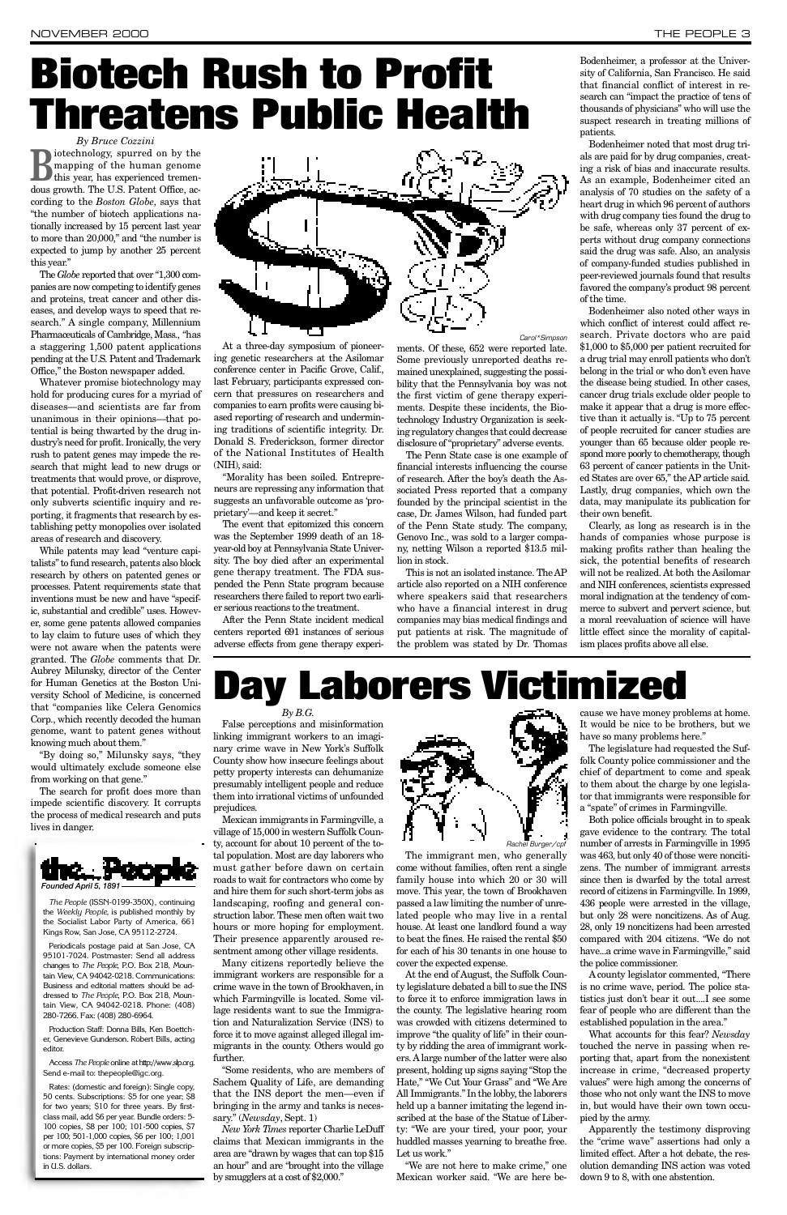*By Bruce Cozzini*

**B**iotechnology, spurred on by the mapping of the human genome<br>this year, has experienced tremenmapping of the human genome this year, has experienced tremendous growth. The U.S. Patent Office, according to the *Boston Globe*, says that "the number of biotech applications nationally increased by 15 percent last year to more than 20,000," and "the number is expected to jump by another 25 percent this year."

The *Globe* reported that over "1,300 companies are now competing to identify genes and proteins, treat cancer and other diseases, and develop ways to speed that research." A single company, Millennium Pharmaceuticals of Cambridge, Mass., "has a staggering 1,500 patent applications pending at the U.S. Patent and Trademark Office," the Boston newspaper added.

Whatever promise biotechnology may hold for producing cures for a myriad of diseases—and scientists are far from unanimous in their opinions—that potential is being thwarted by the drug industry's need for profit. Ironically, the very rush to patent genes may impede the research that might lead to new drugs or treatments that would prove, or disprove, that potential. Profit-driven research not only subverts scientific inquiry and reporting, it fragments that research by establishing petty monopolies over isolated areas of research and discovery.

While patents may lead "venture capitalists" to fund research, patents also block research by others on patented genes or processes. Patent requirements state that inventions must be new and have "specific, substantial and credible" uses. However, some gene patents allowed companies to lay claim to future uses of which they were not aware when the patents were granted. The *Globe* comments that Dr. Aubrey Milunsky, director of the Center for Human Genetics at the Boston University School of Medicine, is concerned that "companies like Celera Genomics Corp., which recently decoded the human genome, want to patent genes without knowing much about them."

"By doing so," Milunsky says, "they would ultimately exclude someone else from working on that gene."

This is not an isolated instance. The AP article also reported on a NIH conference where speakers said that researchers who have a financial interest in drug companies may bias medical findings and put patients at risk. The magnitude of the problem was stated by Dr. Thomas

Bodenheimer, a professor at the University of California, San Francisco. He said that financial conflict of interest in research can "impact the practice of tens of thousands of physicians" who will use the suspect research in treating millions of patients.

The search for profit does more than impede scientific discovery. It corrupts the process of medical research and puts lives in danger.

At a three-day symposium of pioneering genetic researchers at the Asilomar conference center in Pacific Grove, Calif., last February, participants expressed concern that pressures on researchers and companies to earn profits were causing biased reporting of research and undermining traditions of scientific integrity. Dr. Donald S. Frederickson, former director of the National Institutes of Health (NIH), said:

"Morality has been soiled. Entrepreneurs are repressing any information that suggests an unfavorable outcome as 'proprietary'—and keep it secret."

The event that epitomized this concern was the September 1999 death of an 18 year-old boy at Pennsylvania State University. The boy died after an experimental gene therapy treatment. The FDA suspended the Penn State program because researchers there failed to report two earlier serious reactions to the treatment.

Clearly, as long as research is in the hands of companies whose purpose is making profits rather than healing the sick, the potential benefits of research will not be realized. At both the Asilomar and NIH conferences, scientists expressed moral indignation at the tendency of commerce to subvert and pervert science, but a moral reevaluation of science will have little effect since the morality of capitalism places profits above all else.

## **Day Laborers Victimized**

After the Penn State incident medical centers reported 691 instances of serious adverse effects from gene therapy experiSome previously unreported deaths remained unexplained, suggesting the possibility that the Pennsylvania boy was not the first victim of gene therapy experiments. Despite these incidents, the Biotechnology Industry Organization is seeking regulatory changes that could decrease disclosure of "proprietary" adverse events.

The Penn State case is one example of financial interests influencing the course of research. After the boy's death the Associated Press reported that a company founded by the principal scientist in the case, Dr. James Wilson, had funded part of the Penn State study. The company, Genovo Inc., was sold to a larger company, netting Wilson a reported \$13.5 million in stock.

Mexican immigrants in Farmingville, a village of 15,000 in western Suffolk County, account for about 10 percent of the total population. Most are day laborers who must gather before dawn on certain roads to wait for contractors who come by and hire them for such short-term jobs as landscaping, roofing and general construction labor. These men often wait two hours or more hoping for employment. Their presence apparently aroused resentment among other village residents. Many citizens reportedly believe the immigrant workers are responsible for a crime wave in the town of Brookhaven, in which Farmingville is located. Some village residents want to sue the Immigration and Naturalization Service (INS) to force it to move against alleged illegal immigrants in the county. Others would go further.

"Some residents, who are members of Sachem Quality of Life, are demanding that the INS deport the men—even if bringing in the army and tanks is necessary." (*Newsday*, Sept. 1)

Bodenheimer noted that most drug trials are paid for by drug companies, creating a risk of bias and inaccurate results. As an example, Bodenheimer cited an analysis of 70 studies on the safety of a heart drug in which 96 percent of authors with drug company ties found the drug to be safe, whereas only 37 percent of experts without drug company connections said the drug was safe. Also, an analysis of company-funded studies published in peer-reviewed journals found that results favored the company's product 98 percent of the time.

ments. Of these, 652 were reported late. Carol\*Simpson

Bodenheimer also noted other ways in which conflict of interest could affect research. Private doctors who are paid \$1,000 to \$5,000 per patient recruited for a drug trial may enroll patients who don't belong in the trial or who don't even have the disease being studied. In other cases, cancer drug trials exclude older people to make it appear that a drug is more effective than it actually is. "Up to 75 percent of people recruited for cancer studies are younger than 65 because older people respond more poorly to chemotherapy, though 63 percent of cancer patients in the United States are over 65," the AP article said. Lastly, drug companies, which own the data, may manipulate its publication for their own benefit.

## **Biotech Rush to Profit Threatens Public Health**





*The People* (ISSN-0199-350X), continuing the *Weekly People*, is published monthly by the Socialist Labor Party of America, 661 Kings Row, San Jose, CA 95112-2724.

Periodicals postage paid at San Jose, CA 95101-7024. Postmaster: Send all address changes to *The People*, P.O. Box 218, Mountain View, CA 94042-0218. Communications: Business and editorial matters should be add ressed to *The People*, P.O. Box 218, Mountain View, CA 94042-0218. Phone: (408) 280-7266. Fax: (408) 280-6964.

Production Staff: Donna Bills, Ken Boettcher, Genevieve Gunderson. Robert Bills, acting editor

Access The People online at http://www.slp.org. Send e-mail to: thepeople@igc.org.

Rates: (domestic and foreign): Single copy, 50 cents. Subscriptions: \$5 for one year; \$8 for two years; \$10 for three years. By firstclass mail, add \$6 per year. Bundle orders: 5- 100 copies, \$8 per 100; 101-500 copies, \$7 per 100; 501-1,000 copies, \$6 per 100; 1,001 or more copies, \$5 per 100. Foreign subscriptions: Payment by international money order in U.S. dollars.

*By B.G.*

False perceptions and misinformation linking immigrant workers to an imaginary crime wave in New York's Suffolk County show how insecure feelings about petty property interests can dehumanize presumably intelligent people and reduce them into irrational victims of unfounded prejudices.

*New York Ti m e s* reporter Charlie LeDuff claims that Mexican immigrants in the area are "drawn by wages that can top \$15 an hour" and are "brought into the village by smugglers at a cost of \$2,000."

The immigrant men, who generally come without families, often rent a single family house into which 20 or 30 will move. This year, the town of Brookhaven passed a law limiting the number of unrelated people who may live in a rental house. At least one landlord found a way to beat the fines. He raised the rental \$50 for each of his 30 tenants in one house to cover the expected expense. At the end of August, the Suffolk County legislature debated a bill to sue the INS to force it to enforce immigration laws in the county. The legislative hearing room was crowded with citizens determined to improve "the quality of life" in their county by ridding the area of immigrant workers. A large number of the latter were also present, holding up signs saying "Stop the Hate," "We Cut Your Grass" and "We Are All Immigrants." In the lobby, the laborers held up a banner imitating the legend inscribed at the base of the Statue of Liberty: "We are your tired, your poor, your huddled masses yearning to breathe free. Let us work."

" We are not here to make crime," one Mexican worker said. "We are here because we have money problems at home. It would be nice to be brothers, but we have so many problems here."

The legislature had requested the Suffolk County police commissioner and the chief of department to come and speak to them about the charge by one legislator that immigrants were responsible for a "spate" of crimes in Farmingville.

Both police officials brought in to speak gave evidence to the contrary. The total number of arrests in Farmingville in 1995 was 463, but only 40 of those were noncitizens. The number of immigrant arrests since then is dwarfed by the total arrest record of citizens in Farmingville. In 1999, 436 people were arrested in the village, but only 28 were noncitizens. As of Aug. 28, only 19 noncitizens had been arrested compared with 204 citizens. "We do not have...a crime wave in Farmingville," said the police commissioner. A county legislator commented, "There is no crime wave, period. The police statistics just don't bear it out....I see some fear of people who are different than the established population in the area." What accounts for this fear? *Newsday* touched the nerve in passing when reporting that, apart from the nonexistent increase in crime, "decreased property values" were high among the concerns of those who not only want the INS to move in, but would have their own town occupied by the army. Apparently the testimony disproving the "crime wave" assertions had only a limited effect. After a hot debate, the resolution demanding INS action was voted down 9 to 8, with one abstention.



ś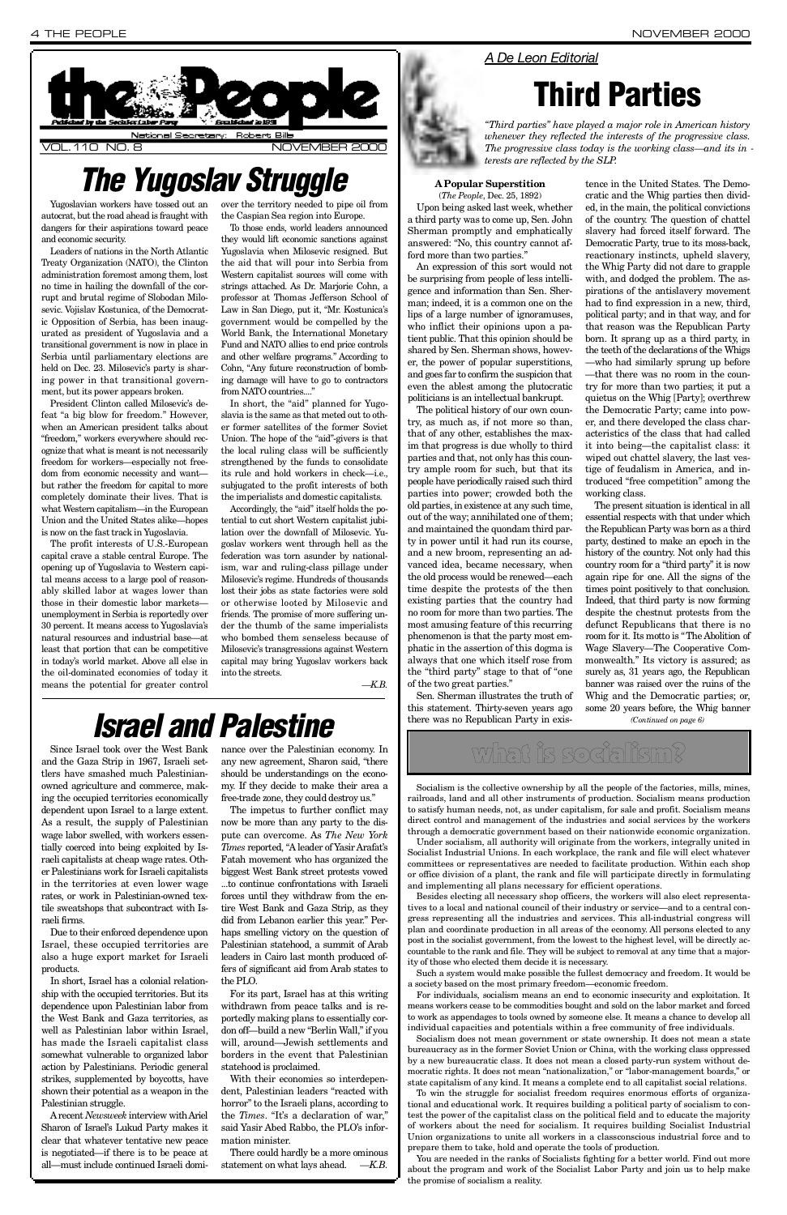Yugoslavian workers have tossed out an autocrat, but the road ahead is fraught with dangers for their aspirations toward peace and economic security.

Leaders of nations in the North Atlantic Treaty Organization (NATO), the Clinton administration foremost among them, lost no time in hailing the downfall of the corrupt and brutal regime of Slobodan Milosevic. Vojislav Kostunica, of the Democratic Opposition of Serbia, has been inaugurated as president of Yugoslavia and a transitional government is now in place in Serbia until parliamentary elections are held on Dec. 23. Milosevic's party is sharing power in that transitional government, but its power appears broken.

President Clinton called Milosevic's defeat "a big blow for freedom." However, when an American president talks about "freedom," workers everywhere should recognize that what is meant is not necessarily freedom for workers—especially not freedom from economic necessity and want but rather the freedom for capital to more completely dominate their lives. That is what Western capitalism—in the European Union and the United States alike—hopes is now on the fast track in Yugoslavia.

In short, the "aid" planned for Yugoslavia is the same as that meted out to other former satellites of the former Soviet Union. The hope of the "aid"-givers is that the local ruling class will be sufficiently strengthened by the funds to consolidate its rule and hold workers in check—i.e., subjugated to the profit interests of both the imperialists and domestic capitalists.

The profit interests of U.S.-European capital crave a stable central Europe. The opening up of Yugoslavia to Western capital means access to a large pool of reasonably skilled labor at wages lower than those in their domestic labor markets unemployment in Serbia is reportedly over 30 percent. It means access to Yugoslavia's natural resources and industrial base—at least that portion that can be competitive in today's world market. Above all else in the oil-dominated economies of today it means the potential for greater control

Accordingly, the "aid" itself holds the potential to cut short Western capitalist jubilation over the downfall of Milosevic. Yugoslav workers went through hell as the federation was torn asunder by nationalism, war and ruling-class pillage under Milosevic's regime. Hundreds of thousands lost their jobs as state factories were sold or otherwise looted by Milosevic and friends. The promise of more suffering under the thumb of the same imperialists who bombed them senseless because of Milosevic's transgressions against Western capital may bring Yugoslav workers back into the streets.

over the territory needed to pipe oil from the Caspian Sea region into Europe.

To those ends, world leaders announced they would lift economic sanctions against Yugoslavia when Milosevic resigned. But the aid that will pour into Serbia from Western capitalist sources will come with strings attached. As Dr. Marjorie Cohn, a professor at Thomas Jefferson School of Law in San Diego, put it, "Mr. Kostunica's government would be compelled by the World Bank, the International Monetary Fund and NATO allies to end price controls and other welfare programs." According to Cohn, "Any future reconstruction of bombing damage will have to go to contractors from NATO countries...."

> Sen. Sherman illustrates the truth of this statement. Thirty-seven years ago there was no Republican Party in exis-

*— K . B .*

#### **A Popular Superstition** (*The People*, Dec. 25, 1892)

Upon being asked last week, whether a third party was to come up, Sen. John Sherman promptly and emphatically answered: "No, this country cannot afford more than two parties."

An expression of this sort would not be surprising from people of less intelligence and information than Sen. Sherman; indeed, it is a common one on the lips of a large number of ignoramuses, who inflict their opinions upon a patient public. That this opinion should be shared by Sen. Sherman shows, however, the power of popular superstitions, and goes far to confirm the suspicion that even the ablest among the plutocratic politicians is an intellectual bankrupt.

The political history of our own country, as much as, if not more so than, that of any other, establishes the maxim that progress is due wholly to third parties and that, not only has this country ample room for such, but that its people have periodically raised such third parties into power; crowded both the old parties, in existence at any such time, out of the way; annihilated one of them; and maintained the quondam third party in power until it had run its course, and a new broom, representing an advanced idea, became necessary, when the old process would be renewed—each time despite the protests of the then existing parties that the country had no room for more than two parties. The most amusing feature of this recurring phenomenon is that the party most emphatic in the assertion of this dogma is always that one which itself rose from the "third party" stage to that of "one of the two great parties."

There could hardly be a more ominous statement on what lays ahead.  $-K.B.$ 

tence in the United States. The Democratic and the Whig parties then divided, in the main, the political convictions of the country. The question of chattel slavery had forced itself forward. The Democratic Party, true to its moss-back, reactionary instincts, upheld slavery, the Whig Party did not dare to grapple with, and dodged the problem. The aspirations of the antislavery movement had to find expression in a new, third, political party; and in that way, and for that reason was the Republican Party born. It sprang up as a third party, in the teeth of the declarations of the Whigs — who had similarly sprung up before —that there was no room in the country for more than two parties; it put a quietus on the Whig [Party]; overthrew the Democratic Party; came into power, and there developed the class characteristics of the class that had called it into being—the capitalist class: it wiped out chattel slavery, the last vestige of feudalism in America, and introduced "free competition" among the working class.



## **The Yugoslav Struggle**

Since Israel took over the West Bank and the Gaza Strip in 1967, Israeli settlers have smashed much Palestinianowned agriculture and commerce, making the occupied territories economically dependent upon Israel to a large extent. As a result, the supply of Palestinian wage labor swelled, with workers essentially coerced into being exploited by Israeli capitalists at cheap wage rates. Other Palestinians work for Israeli capitalists in the territories at even lower wage rates, or work in Palestinian-owned textile sweatshops that subcontract with Israeli firms. Due to their enforced dependence upon Israel, these occupied territories are also a huge export market for Israeli products. In short, Israel has a colonial relationship with the occupied territories. But its dependence upon Palestinian labor from the West Bank and Gaza territories, as well as Palestinian labor within Israel, has made the Israeli capitalist class somewhat vulnerable to organized labor action by Palestinians. Periodic general strikes, supplemented by boycotts, have shown their potential as a weapon in the Palestinian struggle. A recent *Newsweek* interview with Ariel Sharon of Israel's Lukud Party makes it clear that whatever tentative new peace is negotiated—if there is to be peace at all—must include continued Israeli domi-

nance over the Palestinian economy. In any new agreement, Sharon said, "there should be understandings on the economy. If they decide to make their area a free-trade zone, they could destroy us."

The impetus to further conflict may now be more than any party to the dispute can overcome. As *The New York Times* reported, "A leader of Yasir Arafat's Fatah movement who has organized the biggest West Bank street protests vowed ...to continue confrontations with Israeli forces until they withdraw from the entire West Bank and Gaza Strip, as they did from Lebanon earlier this year." Perhaps smelling victory on the question of Palestinian statehood, a summit of Arab leaders in Cairo last month produced offers of significant aid from Arab states to the PLO. For its part, Israel has at this writing withdrawn from peace talks and is reportedly making plans to essentially cordon off—build a new "Berlin Wall," if you will, around—Jewish settlements and borders in the event that Palestinian statehood is proclaimed. With their economies so interdependent, Palestinian leaders "reacted with horror" to the Israeli plans, according to the *Times*. "It's a declaration of war," said Yasir Abed Rabbo, the PLO's information minister.

The present situation is identical in all essential respects with that under which the Republican Party was born as a third party, destined to make an epoch in the history of the country. Not only had this country room for a "third party" it is now again ripe for one. All the signs of the times point positively to that conclusion. Indeed, that third party is now forming despite the chestnut protests from the defunct Republicans that there is no room for it. Its motto is "The Abolition of Wage Slavery—The Cooperative Commonwealth." Its victory is assured; as surely as, 31 years ago, the Republican banner was raised over the ruins of the Whig and the Democratic parties; or, some 20 years before, the Whig banner *(Continued on page 6)*

## *Israel and Palestine*

### *A De Leon Editorial*

## **Third Parties**

*"Third parties" have played a major role in American history whenever they reflected the interests of the progressive class. The progressive class today is the working class—and its in terests are reflected by the SLP.*

what is socialism?

Socialism is the collective ownership by all the people of the factories, mills, mines, railroads, land and all other instruments of production. Socialism means production to satisfy human needs, not, as under capitalism, for sale and profit. Socialism means direct control and management of the industries and social services by the workers through a democratic government based on their nationwide economic organization.

Under socialism, all authority will originate from the workers, integrally united in Socialist Industrial Unions. In each workplace, the rank and file will elect whatever committees or representatives are needed to facilitate production. Within each shop or office division of a plant, the rank and file will participate directly in formulating and implementing all plans necessary for efficient operations. Besides electing all necessary shop officers, the workers will also elect representatives to a local and national council of their industry or service—and to a central congress representing all the industries and services. This all-industrial congress will plan and coordinate production in all areas of the economy. All persons elected to any post in the socialist government, from the lowest to the highest level, will be directly accountable to the rank and file. They will be subject to removal at any time that a majority of those who elected them decide it is necessary. Such a system would make possible the fullest democracy and freedom. It would be a society based on the most primary freedom—economic freedom.

For individuals, socialism means an end to economic insecurity and exploitation. It means workers cease to be commodities bought and sold on the labor market and forced to work as appendages to tools owned by someone else. It means a chance to develop all individual capacities and potentials within a free community of free individuals.

Socialism does not mean government or state ownership. It does not mean a state bureaucracy as in the former Soviet Union or China, with the working class oppressed by a new bureaucratic class. It does not mean a closed party-run system without democratic rights. It does not mean "nationalization," or "labor-management boards," or state capitalism of any kind. It means a complete end to all capitalist social relations.

To win the struggle for socialist freedom requires enormous efforts of organizational and educational work. It requires building a political party of socialism to contest the power of the capitalist class on the political field and to educate the majority of workers about the need for socialism. It requires building Socialist Industrial Union organizations to unite all workers in a classconscious industrial force and to prepare them to take, hold and operate the tools of production.

You are needed in the ranks of Socialists fighting for a better world. Find out more about the program and work of the Socialist Labor Party and join us to help make the promise of socialism a reality.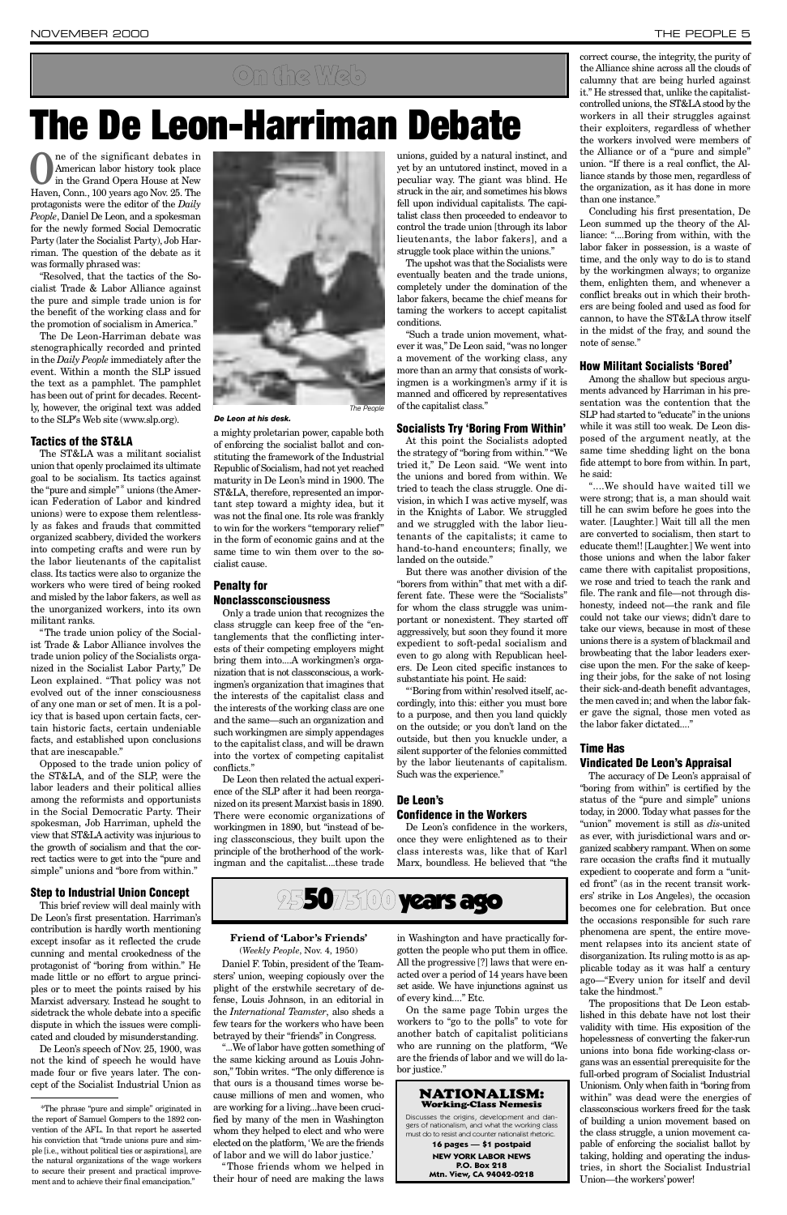**O**ne of the significant debates in<br>American labor history took place<br>in the Grand Opera House at New American labor history took place Haven, Conn., 100 years ago Nov. 25. The protagonists were the editor of the *Daily People*, Daniel De Leon, and a spokesman for the newly formed Social Democratic Party (later the Socialist Party), Job Harriman. The question of the debate as it was formally phrased was:

"Resolved, that the tactics of the Socialist Trade & Labor Alliance against the pure and simple trade union is for the benefit of the working class and for the promotion of socialism in America."

The De Leon-Harriman debate was stenographically recorded and printed in the *Daily People* immediately after the event. Within a month the SLP issued the text as a pamphlet. The pamphlet has been out of print for decades. Recently, however, the original text was added to the SLP's Web site (www.slp.org).

#### **Tactics of the ST&LA**

The ST&LA was a militant socialist union that openly proclaimed its ultimate goal to be socialism. Its tactics against the "pure and simple" \* unions (the American Federation of Labor and kindred unions) were to expose them relentlessly as fakes and frauds that committed organized scabbery, divided the workers into competing crafts and were run by the labor lieutenants of the capitalist class. Its tactics were also to organize the workers who were tired of being rooked and misled by the labor fakers, as well as the unorganized workers, into its own militant ranks.

"The trade union policy of the Socialist Trade & Labor Alliance involves the trade union policy of the Socialists organized in the Socialist Labor Party," De Leon explained. "That policy was not evolved out of the inner consciousness of any one man or set of men. It is a policy that is based upon certain facts, certain historic facts, certain undeniable facts, and established upon conclusions that are inescapable."

Only a trade union that recognizes the class struggle can keep free of the "entanglements that the conflicting interests of their competing employers might bring them into....A workingmen's organization that is not classconscious, a working men's organization that imagines that the interests of the capitalist class and the interests of the working class are one and the same—such an organization and such workingmen are simply appendages to the capitalist class, and will be drawn into the vortex of competing capitalist conflicts."

Opposed to the trade union policy of the ST&LA, and of the SLP, were the labor leaders and their political allies among the reformists and opportunists in the Social Democratic Party. Their spokesman, Job Harriman, upheld the view that ST&LA activity was injurious to the growth of socialism and that the correct tactics were to get into the "pure and simple" unions and "bore from within."

#### **Step to Industrial Union Concept**



The upshot was that the Socialists were eventually beaten and the trade unions, completely under the domination of the labor fakers, became the chief means for taming the workers to accept capitalist conditions.

This brief review will deal mainly with De Leon's first presentation. Harriman's contribution is hardly worth mentioning except insofar as it reflected the crude cunning and mental crookedness of the protagonist of "boring from within." He made little or no effort to argue principles or to meet the points raised by his Marxist adversary. Instead he sought to sidetrack the whole debate into a specific dispute in which the issues were complicated and clouded by misunderstanding.

De Leon's speech of Nov. 25, 1900, was not the kind of speech he would have made four or five years later. The concept of the Socialist Industrial Union as a mighty proletarian power, capable both of enforcing the socialist ballot and constituting the framework of the Industrial Republic of Socialism, had not yet reached maturity in De Leon's mind in 1900. The ST&LA, therefore, represented an important step toward a mighty idea, but it was not the final one. Its role was frankly to win for the workers "temporary relief" in the form of economic gains and at the same time to win them over to the socialist cause.

### **Penalty for Nonclassconsciousness**

De Leon then related the actual experience of the SLP after it had been reorganized on its present Marxist basis in 1890. There were economic organizations of workingmen in 1890, but "instead of being classconscious, they built upon the principle of the brotherhood of the workingman and the capitalist....these trade

"....We should have waited till we were strong; that is, a man should wait till he can swim before he goes into the water. [Laughter.] Wait till all the men are converted to socialism, then start to educate them!! [Laughter.] We went into those unions and when the labor faker came there with capitalist propositions, we rose and tried to teach the rank and file. The rank and file—not through dishonesty, indeed not—the rank and file could not take our views; didn't dare to take our views, because in most of these unions there is a system of blackmail and browbeating that the labor leaders exercise upon the men. For the sake of keeping their jobs, for the sake of not losing their sick-and-death benefit advantages, the men caved in; and when the labor faker gave the signal, those men voted as the labor faker dictated...."

The accuracy of De Leon's appraisal of "boring from within" is certified by the status of the "pure and simple" unions today, in 2000. Today what passes for the "union" movement is still as *dis-*united as ever, with jurisdictional wars and organized scabbery rampant. When on some rare occasion the crafts find it mutually expedient to cooperate and form a "united front" (as in the recent transit workers' strike in Los Angeles), the occasion becomes one for celebration. But once the occasions responsible for such rare phenomena are spent, the entire movement relapses into its ancient state of disorganization. Its ruling motto is as applicable today as it was half a century ago—"Every union for itself and devil take the hindmost." The propositions that De Leon established in this debate have not lost their validity with time. His exposition of the hopelessness of converting the faker-run unions into bona fide working-class organs was an essential prerequisite for the full-orbed program of Socialist Industrial Unionism. Only when faith in "boring from within" was dead were the energies of classconscious workers freed for the task of building a union movement based on the class struggle, a union movement capable of enforcing the socialist ballot by taking, holding and operating the industries, in short the Socialist Industrial Union—the workers' power!



unions, guided by a natural instinct, and yet by an untutored instinct, moved in a peculiar way. The giant was blind. He struck in the air, and sometimes his blows fell upon individual capitalists. The capitalist class then proceeded to endeavor to control the trade union [through its labor lieutenants, the labor fakers], and a struggle took place within the unions."

"Such a trade union movement, whatever it was," De Leon said, "was no longer a movement of the working class, any more than an army that consists of workingmen is a workingmen's army if it is manned and officered by representatives of the capitalist class."

#### **Socialists Try 'Boring From Within'**

At this point the Socialists adopted the strategy of "boring from within." "We tried it," De Leon said. "We went into the unions and bored from within. We tried to teach the class struggle. One division, in which I was active myself, was in the Knights of Labor. We struggled and we struggled with the labor lieutenants of the capitalists; it came to hand-to-hand encounters; finally, we landed on the outside."

Daniel F. Tobin, president of the Teamsters' union, weeping copiously over the plight of the erstwhile secretary of defense, Louis Johnson, in an editorial in the *International Teamster*, also sheds a few tears for the workers who have been betrayed by their "friends" in Congress.

"...We of labor have gotten something of the same kicking around as Louis Johnson," Tobin writes. "The only difference is that ours is a thousand times worse because millions of men and women, who are working for a living...have been crucified by many of the men in Washington whom they helped to elect and who were elected on the platform, 'We are the friends of labor and we will do labor justice.'

in Washington and have practically forgotten the people who put them in office. All the progressive [?] laws that were enacted over a period of 14 years have been set aside. We have injunctions against us of every kind...." Etc.

But there was another division of the "borers from within" that met with a different fate. These were the "Socialists" for whom the class struggle was unimportant or nonexistent. They started off aggressively, but soon they found it more expedient to soft-pedal socialism and even to go along with Republican heelers. De Leon cited specific instances to substantiate his point. He said:

Discusses the origins, development and dangers of nationalism, and what the working class must do to resist and counter nationalist rhetoric.

"'Boring from within'resolved itself, accordingly, into this: either you must bore to a purpose, and then you land quickly on the outside; or you don't land on the outside, but then you knuckle under, a silent supporter of the felonies committed by the labor lieutenants of capitalism. Such was the experience."

### **De Leon's Confidence in the Workers**

De Leon's confidence in the workers, once they were enlightened as to their class interests was, like that of Karl Marx, boundless. He believed that "the

correct course, the integrity, the purity of the Alliance shine across all the clouds of calumny that are being hurled against it." He stressed that, unlike the capitalistcontrolled unions, the ST&LA stood by the workers in all their struggles against their exploiters, regardless of whether the workers involved were members of the Alliance or of a "pure and simple" union. "If there is a real conflict, the Alliance stands by those men, regardless of the organization, as it has done in more than one instance."

Concluding his first presentation, De Leon summed up the theory of the Alliance: "....Boring from within, with the labor faker in possession, is a waste of time, and the only way to do is to stand by the workingmen always; to organize them, enlighten them, and whenever a conflict breaks out in which their brothers are being fooled and used as food for cannon, to have the ST&LA throw itself in the midst of the fray, and sound the note of sense."

#### **How Militant Socialists 'Bored'**

Among the shallow but specious arguments advanced by Harriman in his presentation was the contention that the SLP had started to "educate" in the unions while it was still too weak. De Leon disposed of the argument neatly, at the same time shedding light on the bona fide attempt to bore from within. In part, he said:

#### **Time Has Vindicated De Leon's Appraisal**

## **The De Leon-Harriman Debate**

## On the Web

*De Leon at his desk.*

The People

\*The phrase "pure and simple" originated in the report of Samuel Gompers to the 1892 convention of the AFL. In that report he asserted his conviction that "trade unions pure and simple [i.e., without political ties or aspirations], are the natural organizations of the wage workers to secure their present and practical improvement and to achieve their final emancipation."

#### **Friend of 'Labor's Friends'** (*Weekly People*, Nov. 4, 1950)

" Those friends whom we helped in their hour of need are making the laws

On the same page Tobin urges the workers to "go to the polls" to vote for another batch of capitalist politicians who are running on the platform, "We are the friends of labor and we will do labor justice."



#### NATIONALISM: Working-Class Nemesis

**16 pages — \$1 postpaid NEW YORK LABOR NEWS P.O. Box 218 Mtn. View, CA 94042-0218**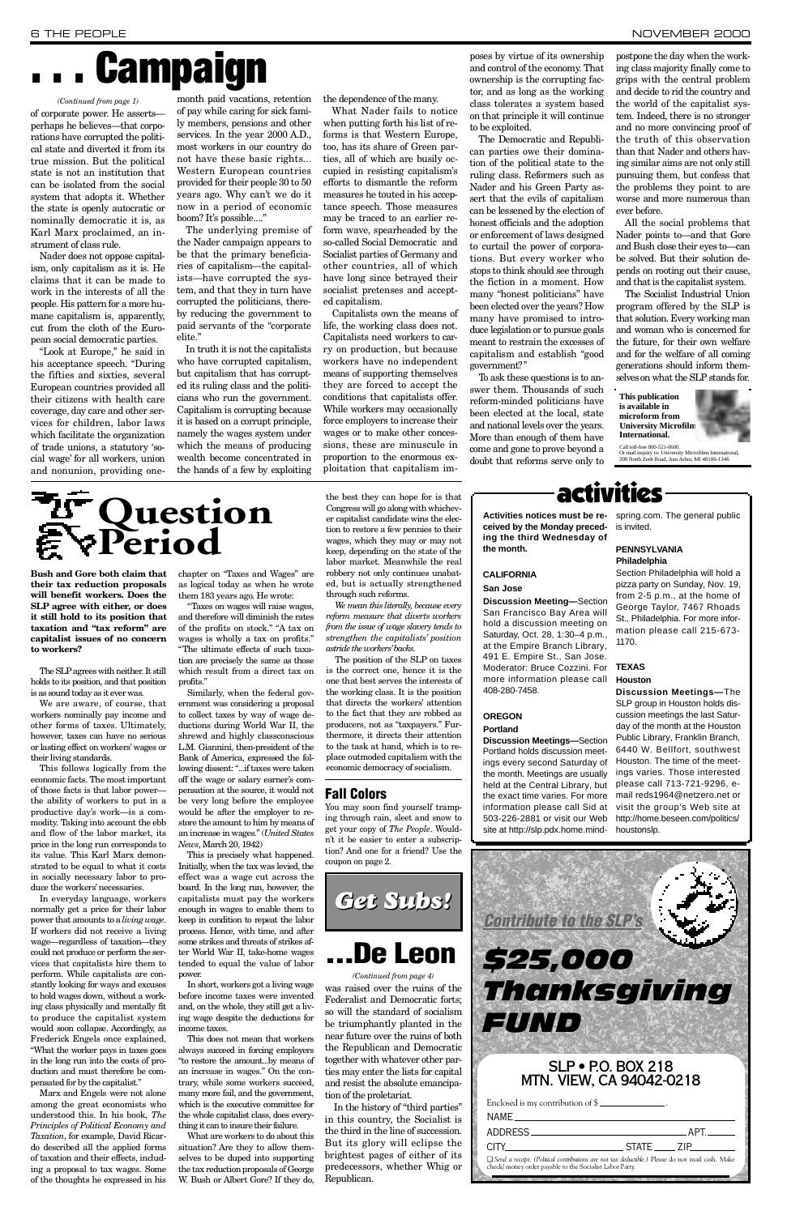**Bush and Gore both claim that their tax reduction proposals will benefit workers. Does the SLP** agree with either, or does **it still hold to its position that taxation and "tax reform" are capitalist issues of no concern to workers?**

The SLPagrees with neither. It still holds to its position, and that position is as sound today as it ever was.

We are aware, of course, that workers nominally pay income and other forms of taxes. Ultimately, however, taxes can have no serious or lasting effect on workers' wages or their living standards.

This follows logically from the economic facts. The most important of those facts is that labor power the ability of workers to put in a productive day's work—is a commodity. Taking into account the ebb and flow of the labor market, its price in the long run corresponds to its value. This Karl Marx demonstrated to be equal to what it costs in socially necessary labor to produce the workers' necessaries. In everyday language, workers normally get a price for their labor power that amounts to a *living wage*. If workers did not receive a living wage—regardless of taxation—they could not produce or perform the services that capitalists hire them to perform. While capitalists are constantly looking for ways and excuses to hold wages down, without a working class physically and mentally fit to produce the capitalist system would soon collapse. Accordingly, as Frederick Engels once explained, "What the worker pays in taxes goes in the long run into the costs of production and must therefore be compensated for by the capitalist." Marx and Engels were not alone among the great economists who understood this. In his book, *The Principles of Political Economy and Ta x a t i o n*, for example, David Ricardo described all the applied forms of taxation and their effects, including a proposal to tax wages. Some of the thoughts he expressed in his

chapter on "Taxes and Wages" are as logical today as when he wrote them 183 years ago. He wrote:

*We mean this literally, because every reform measure that diverts workers from the issue of wage slavery tends to*  $strengthen$  the capitalists' position  $a<sup>2</sup>$ *astride the workers' backs.* 

"Taxes on wages will raise wages, and therefore will diminish the rates of the profits on stock." "A tax on wages is wholly a tax on profits." "The ultimate effects of such taxation are precisely the same as those which result from a direct tax on profits."

Similarly, when the federal government was considering a proposal to collect taxes by way of wage deductions during World War II, the shrewd and highly classconscious L.M. Giannini, then-president of the Bank of America, expressed the following dissent: "...if taxes were taken off the wage or salary earner's compensation at the source, it would not be very long before the employee would be after the employer to restore the amount to him by means of an increase in wages." (*United States News*, March 20, 1942)

Nader does not oppose capitalism, only capitalism as it is. He claims that it can be made to work in the interests of all the people. His pattern for a more humane capitalism is, apparently, cut from the cloth of the European social democratic parties.

> This is precisely what happened. Initially, when the tax was levied, the effect was a wage cut across the board. In the long run, however, the capitalists must pay the workers enough in wages to enable them to keep in condition to repeat the labor process. Hence, with time, and after some strikes and threats of strikes after World War II, take-home wages tended to equal the value of labor

The underlying premise of the Nader campaign appears to be that the primary beneficiaries of capitalism—the capitalists—have corrupted the system, and that they in turn have corrupted the politicians, thereby reducing the government to paid servants of the "corporate elite."

In short, workers got a living wage before income taxes were invented and, on the whole, they still get a living wage despite the deductions for income taxes.

This does not mean that workers always succeed in forcing employers "to restore the amount...by means of an increase in wages." On the contrary, while some workers succeed. many more fail, and the government, which is the executive committee for the whole capitalist class, does everything it can to insure their failure.

What are workers to do about this situation? Are they to allow themselves to be duped into supporting the tax reduction proposals of George W. Bush or Albert Gore? If they do,

The Democratic and Republican parties owe their domination of the political state to the ruling class. Reformers such as Nader and his Green Party assert that the evils of capitalism can be lessened by the election of honest officials and the adoption or enforcement of laws designed to curtail the power of corporations. But every worker who stops to think should see through the fiction in a moment. How many "honest politicians" have been elected over the years? How many have promised to introduce legislation or to pursue goals meant to restrain the excesses of capitalism and establish "good government?"

the best they can hope for is that Congress will go along with whichever capitalist candidate wins the election to restore a few pennies to their wages, which they may or may not keep, depending on the state of the labor market. Meanwhile the real robbery not only continues unabated, but is actually strengthened through such reforms.

The position of the SLP on taxes is the correct one, hence it is the one that best serves the interests of the working class. It is the position that directs the workers' attention to the fact that they are robbed as producers, not as "taxpayers." Furthermore, it directs their attention to the task at hand, which is to replace outmoded capitalism with the economic democracy of socialism.

The Socialist Industrial Union program offered by the SLP is that solution. Every working man and woman who is concerned for the future, for their own welfare and for the welfare of all coming generations should inform themselves on what the SLP stands for.

of corporate power. He asserts perhaps he believes—that corporations have corrupted the political state and diverted it from its true mission. But the political state is not an institution that can be isolated from the social system that adopts it. Whether the state is openly autocratic or nominally democratic it is, as Karl Marx proclaimed, an instrument of class rule.

> In the history of "third parties" in this country, the Socialist is the third in the line of succession. But its glory will eclipse the brightest pages of either of its predecessors, whether Whig or Republican.

#### **CALIFORNIA San Jose**

**Discussion Meeting-Section** San Francisco Bay Area will hold a discussion meeting on Saturday, Oct. 28, 1:30-4 p.m., at the Empire Branch Library, 491 E. Empire St., San Jose. Moderator: Bruce Cozzini. For more information please call 408-280-7458.

#### **O R E G O N Portland**

**Discussion Meetings—Section** Portland holds discussion meetings every second Saturday of the month. Meetings are usually held at the Central Library, but the exact time varies. For more information please call Sid at 503-226-2881 or visit our Web site at http://slp.pdx.home.mindSection Philadelphia will hold a pizza party on Sunday, Nov. 19, from 2-5 p.m., at the home of George Taylor, 7467 Rhoads St., Philadelphia. For more information please call 215-673- 1170.

"Look at Europe," he said in his acceptance speech. "During the fifties and sixties, several European countries provided all their citizens with health care coverage, day care and other services for children, labor laws which facilitate the organization of trade unions, a statutory 'social wage' for all workers, union and nonunion, providing one-

| <b>Contribute to the SLP's</b><br>525,000<br>Thanksgiving<br>EUND                                                                                             |  |  |  |  |  |
|---------------------------------------------------------------------------------------------------------------------------------------------------------------|--|--|--|--|--|
| <b>SLP • P.O. BOX 218</b><br>MTN. VIEW, CA 94042-0218                                                                                                         |  |  |  |  |  |
| Enclosed is my contribution of $\frac{1}{2}$                                                                                                                  |  |  |  |  |  |
| NAMF                                                                                                                                                          |  |  |  |  |  |
| APT.<br>ADDRESS.                                                                                                                                              |  |  |  |  |  |
| STATE ZIP<br>CITY.                                                                                                                                            |  |  |  |  |  |
| □ Send a receipt. (Political contributions are not tax deductible.) Please do not mail cash. Make<br>check/ money order payable to the Socialist Labor Party. |  |  |  |  |  |

month paid vacations, retention of pay while caring for sick family members, pensions and other services. In the year 2000 A.D., most workers in our country do not have these basic rights... Western European countries provided for their people 30 to 50 years ago. Why can't we do it now in a period of economic boom? It's possible...."

> **This publication is available in**  microform from **University Microfilm International.**



Call toll-free 800-521-0600. Or mail inquiry to: University Microfilms International,<br>300 North Zeeb Road, Ann Arbor, MI 48106-1346

In truth it is not the capitalists who have corrupted capitalism, but capitalism that has corrupted its ruling class and the politicians who run the government. Capitalism is corrupting because it is based on a corrupt principle, namely the wages system under which the means of producing wealth become concentrated in the hands of a few by exploiting the dependence of the many.

What Nader fails to notice when putting forth his list of reforms is that Western Europe, too, has its share of Green parties, all of which are busily occupied in resisting capitalism's e fforts to dismantle the reform measures he touted in his acceptance speech. Those measures may be traced to an earlier reform wave, spearheaded by the so-called Social Democratic and Socialist parties of Germany and other countries, all of which have long since betrayed their socialist pretenses and accepted capitalism.

Capitalists own the means of life, the working class does not. Capitalists need workers to carry on production, but because workers have no independent means of supporting themselves they are forced to accept the conditions that capitalists offer. While workers may occasionally force employers to increase their wages or to make other concessions, these are minuscule in proportion to the enormous exploitation that capitalism imposes by virtue of its ownership and control of the economy. That ownership is the corrupting factor, and as long as the working class tolerates a system based on that principle it will continue to be exploited.

To ask these questions is to answer them. Thousands of such reform-minded politicians have been elected at the local, state and national levels over the years. More than enough of them have come and gone to prove beyond a doubt that reforms serve only to

postpone the day when the working class majority finally come to grips with the central problem and decide to rid the country and the world of the capitalist system. Indeed, there is no stronger and no more convincing proof of the truth of this observation than that Nader and others having similar aims are not only still pursuing them, but confess that the problems they point to are worse and more numerous than ever before.

All the social problems that Nader points to—and that Gore and Bush close their eyes to—can be solved. But their solution depends on rooting out their cause, and that is the capitalist system.



#### power.

was raised over the ruins of the Federalist and Democratic forts; so will the standard of socialism be triumphantly planted in the near future over the ruins of both the Republican and Democratic together with whatever other parties may enter the lists for capital and resist the absolute emancipation of the proletariat.

## **. . . De Leon**

*(Continued from page 4)*

## **. . . Campaign**

## activities

**Activities notices must be re-**spring.com. The general public **ceived by the Monday preceding the third Wednesday of the month.**

is invited.

#### **PENNSYLVANIA Philadelphia**

### **T E X A S**

#### **Houston**

**Discussion Meetings-The** SLP group in Houston holds discussion meetings the last Saturday of the month at the Houston Public Library, Franklin Branch, 6440 W. Bellfort, southwest Houston. The time of the meetings varies. Those interested please call 713-721-9296, email reds1964@netzero.net or visit the group's Web site at http://home.beseen.com/politics/ houstonslp.

#### *(Continued from page 1)*

## **Question Period**

### **Fall Colors**

You may soon find yourself tramping through rain, sleet and snow to get your copy of *The People*. Wouldn 't it be easier to enter a subscription? And one for a friend? Use the coupon on page 2.

*Get Subs!*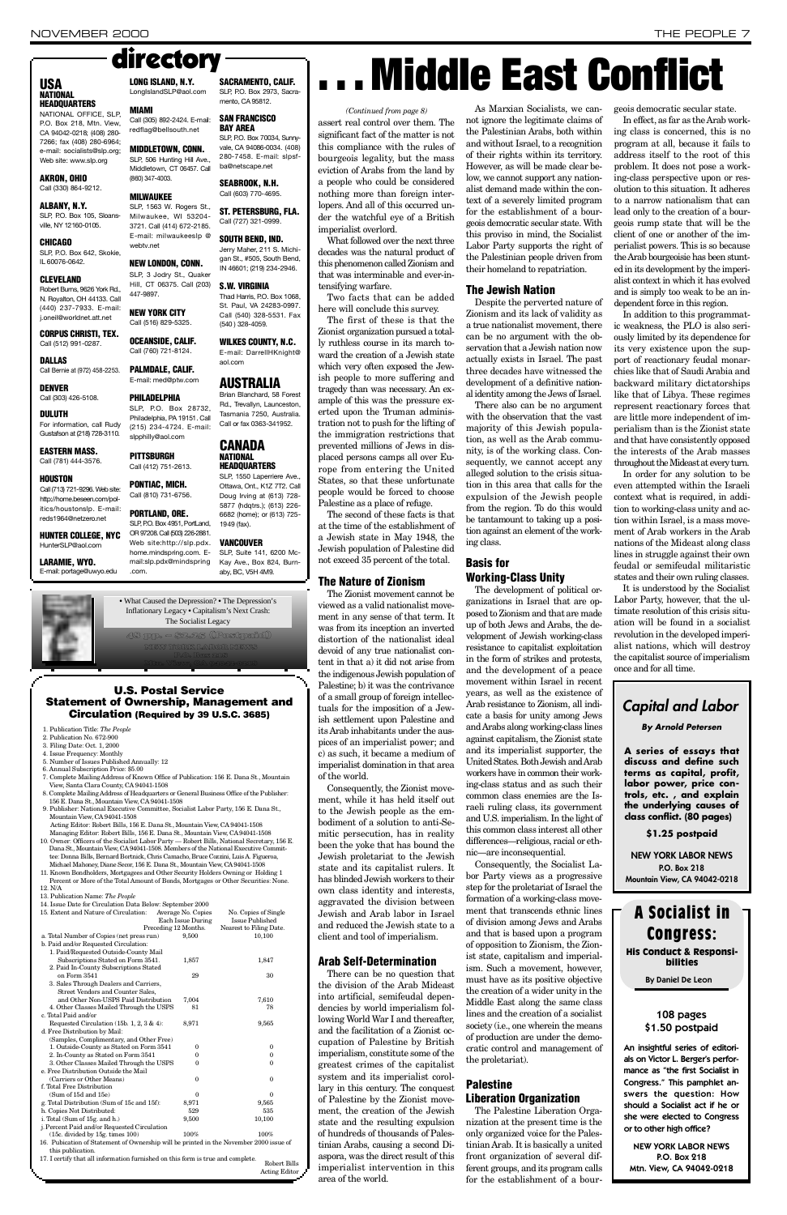assert real control over them. The significant fact of the matter is not this compliance with the rules of bourgeois legality, but the mass eviction of Arabs from the land by a people who could be considered nothing more than foreign interlopers. And all of this occurred under the watchful eye of a British imperialist overlord.

What followed over the next three decades was the natural product of this phenomenon called Zionism and that was interminable and ever-intensifying warfare.

Two facts that can be added here will conclude this survey.

The first of these is that the Zionist organization pursued a totally ruthless course in its march toward the creation of a Jewish state which very often exposed the Jewish people to more suffering and tragedy than was necessary. An example of this was the pressure exerted upon the Truman administration not to push for the lifting of the immigration restrictions that prevented millions of Jews in displaced persons camps all over Europe from entering the United States, so that these unfortunate people would be forced to choose Palestine as a place of refuge.

Consequently, the Zionist movement, while it has held itself out to the Jewish people as the embodiment of a solution to anti-Semitic persecution, has in reality been the yoke that has bound the Jewish proletariat to the Jewish state and its capitalist rulers. It has blinded Jewish workers to their own class identity and interests, aggravated the division between Jewish and Arab labor in Israel and reduced the Jewish state to a client and tool of imperialism.

There can be no question that the division of the Arab Mideast into artificial, semifeudal dependencies by world imperialism following World War I and thereafter, and the facilitation of a Zionist occupation of Palestine by British imperialism, constitute some of the greatest crimes of the capitalist system and its imperialist corollary in this century. The conquest of Palestine by the Zionist movement, the creation of the Jewish state and the resulting expulsion of hundreds of thousands of Palestinian Arabs, causing a second Diaspora, was the direct result of this imperialist intervention in this area of the world.

The second of these facts is that at the time of the establishment of a Jewish state in May 1948, the Jewish population of Palestine did not exceed 35 percent of the total.

### **The Nature of Zionism**

The Zionist movement cannot be viewed as a valid nationalist movement in any sense of that term. It was from its inception an inverted distortion of the nationalist ideal devoid of any true nationalist content in that a) it did not arise from the indigenous Jewish population of Palestine; b) it was the contrivance of a small group of foreign intellectuals for the imposition of a Jewish settlement upon Palestine and its Arab inhabitants under the auspices of an imperialist power; and c) as such, it became a medium of imperialist domination in that area of the world.

As Marxian Socialists, we cannot ignore the legitimate claims of the Palestinian Arabs, both within and without Israel, to a recognition of their rights within its territory. However, as will be made clear below, we cannot support any nationalist demand made within the context of a severely limited program for the establishment of a bourgeois democratic secular state. With this proviso in mind, the Socialist Labor Party supports the right of the Palestinian people driven from their homeland to repatriation.

Despite the perverted nature of Zionism and its lack of validity as a true nationalist movement, there can be no argument with the observation that a Jewish nation now actually exists in Israel. The past three decades have witnessed the development of a definitive national identity among the Jews of Israel.

There also can be no argument with the observation that the vast majority of this Jewish population, as well as the Arab community, is of the working class. Consequently, we cannot accept any alleged solution to the crisis situation in this area that calls for the expulsion of the Jewish people from the region. To do this would be tantamount to taking up a position against an element of the working class.

#### **Arab Self-Determination**

nic—are inconsequential. Consequently, the Socialist Labor Party views as a progressive step for the proletariat of Israel the

The Palestine Liberation Organization at the present time is the only organized voice for the Palestinian Arab. It is basically a united front organization of several different groups, and its program calls for the establishment of a bour-

#### **The Jewish Nation**

### **N ATIONAL HEADQUARTERS**

NATIONAL OFFICE, SLP. P.O. Box 218, Mtn. View CA 94042-0218; (408) 280- 7266; fax (408) 280-6964; e-mail: socialists@slp.org; Web site: www.slp.org

### SLP, P.O. Box 105, Sloansville, NY 12160-0105.

**CORPUS CHRISTI, TEX.** Call (512) 991-0287.

**DALLAS** Call Bernie at (972) 458-2253.

**HOUSTON** Call (713) 721-9296. Web site: http://home.beseen.com/politics/houstonslp. E-mail:

#### **Basis for Working-Class Unity**

reds1964@netzero.net **HUNTER COLLEGE, NYC**

HunterSLP@aol.com **LARAMIE, WYO.**

E-mail: portage@uwyo.edu



#### **LONG ISLAND, N.Y.** LongIslandSLP@aol.com

directory

(860) 347-4003. **MILWAUKEE** 

webtv.net

3721. Call (414) 672-2185. E-mail: milwaukeeslp @

**NEW LONDON, CONN.** SLP, 3 Jodry St., Quaker

**OCEANSIDE, CALIF.** Call (760) 721-8124. **PALMDALE, CALIF.** E-mail: med@ptw.com **PHILADELPHIA** 

> The development of political organizations in Israel that are opposed to Zionism and that are made up of both Jews and Arabs, the development of Jewish working-class resistance to capitalist exploitation in the form of strikes and protests, and the development of a peace movement within Israel in recent years, as well as the existence of Arab resistance to Zionism, all indicate a basis for unity among Jews and Arabs along working-class lines against capitalism, the Zionist state and its imperialist supporter, the United States. Both Jewish and Arab workers have in common their working-class status and as such their common class enemies are the Israeli ruling class, its government and U.S. imperialism. In the light of this common class interest all other differences—religious, racial or eth-

#### slpphilly@aol.com **PITTSBURGH** Call (412) 751-2613.

SLP, P.O. Box 2973, Sacramento, CA 95812.

> **SAN FRANCISCO B AY AREA** SLP, P.O. Box 70034, Sunny-

SLP, 1563 W. Rogers St., Milwaukee, WI 53204-**SEABROOK, N.H.** Call (603) 770-4695. ST. PETERSBURG, FLA. Call (727) 321-0999.

### **SOUTH BEND, IND.** Jerry Maher, 211 S. Michi-

gan St., #505, South Bend, IN 46601; (219) 234-2946.

**WILKES COUNTY, N.C.** E-mail: DarrellHKnight@ aol.com

SLP, P.O. Box 28732, Philadelphia, PA 19151, Call (215) 234-4724. E-mail: Brian Blanchard, 58 Forest Rd., Trevallyn, Launceston, Tasmania 7250, Australia. Call or fax 0363-341952.

> **CANADA N ATIONAL**

**HEADQUARTERS** SLP, 1550 Laperriere Ave., Ottawa, Ont., K1Z 7T2. Call Doug Irving at (613) 728- 5877 (hdqtrs.); (613) 226- 6682 (home); or (613) 725-

### **VANCOUVER**

SLP, Suite 141, 6200 Mc-Kay Ave., Box 824, Burnaby, BC, V5H 4M9.

> formation of a working-class movement that transcends ethnic lines of division among Jews and Arabs and that is based upon a program of opposition to Zionism, the Zionist state, capitalism and imperialism. Such a movement, however, must have as its positive objective the creation of a wider unity in the Middle East along the same class lines and the creation of a socialist society (i.e., one wherein the means of production are under the democratic control and management of the proletariat).

### **Palestine Liberation Organization**

geois democratic secular state.

In effect, as far as the Arab working class is concerned, this is no program at all, because it fails to address itself to the root of this problem. It does not pose a working-class perspective upon or resolution to this situation. It adheres to a narrow nationalism that can lead only to the creation of a bourgeois rump state that will be the client of one or another of the imperialist powers. This is so because the Arab bourgeoisie has been stunted in its development by the imperialist context in which it has evolved and is simply too weak to be an independent force in this region.

In addition to this programmatic weakness, the PLO is also seriously limited by its dependence for its very existence upon the support of reactionary feudal monarchies like that of Saudi Arabia and backward military dictatorships like that of Libya. These regimes represent reactionary forces that are little more independent of imperialism than is the Zionist state and that have consistently opposed the interests of the Arab masses throughout the Mideast at every turn.

An insightful series of editorials on Victor L. Berger's performance as "the first Socialist in Congress." This pamphlet answers the question: How should a Socialist act if he or she were elected to Congress or to other high office?

In order for any solution to be even attempted within the Israeli context what is required, in addition to working-class unity and action within Israel, is a mass movement of Arab workers in the Arab nations of the Mideast along class lines in struggle against their own feudal or semifeudal militaristic states and their own ruling classes.

It is understood by the Socialist Labor Party, however, that the ultimate resolution of this crisis situation will be found in a socialist revolution in the developed imperialist nations, which will destroy the capitalist source of imperialism once and for all time.

#### **AKRON, OHIO** Call (330) 864-9212.

**ALBANY, N.Y.** 

**C H I C A G O** SLP, P.O. Box 642, Skokie, IL 60076-0642.

#### **C L E V E L A N D**

Robert Burns, 9626 York Rd., N. Royalton, OH 44133. Call (440) 237-7933. E-mail: j.oneil@worldnet.att.net

**D E N V E R** Call (303) 426-5108.

#### **D U L U T H**

For information, call Rudy Gustafson at (218) 728-3110.

#### **EASTERN MASS.** Call (781) 444-3576.

**M I A M I**

Call (305) 892-2424. E-mail: redflag@bellsouth.net **MIDDLETOWN, CONN.** SLP, 506 Hunting Hill Ave., Middletown, CT 06457. Call

**PONTIAC, MICH.**

#### Hill, CT 06375. Call (203) 447-9897. **S . W. VIRGINIA**

**NEW YORK CITY** Call (516) 829-5325. Thad Harris, P.O. Box 1068, St. Paul, VA 24283-0997. Call (540) 328-5531. Fax (540 ) 328-4059.

**SACRAMENTO, CALIF.**

#### vale, CA 94086-0034 (408) 280-7458. E-mail: slpsfba@netscape.net

Call (810) 731-6756. **PORTLAND, ORE.** SLP, P.O. Box 4951, PortLand, OR 97208. Call (503) 226-2881. Web site:http://slp.pdx. home.mindspring.com. Email:slp.pdx@mindspring .com. 1949 (fax).

### **A U S T R A L I A**

- 1. Publication Title: *The People*
- 2. Publication No. 672-900
- 3. Filing Date: Oct. 1, 2000
- 4. Issue Frequency: Monthly
- 5. Number of Issues Published Annually: 12 6. Annual Subscription Price: \$5.00
- 7. Complete Mailing Address of Known Office of Publication: 156 E. Dana St., Mountain View, Santa Clara County, CA 94041-1508
- 8. Complete Mailing Address of Headquarters or General Business Office of the Publisher: 156 E. Dana St., Mountain View, CA 94041-1508
- 9. Publisher: National Executive Committee, Socialist Labor Party, 156 E. Dana St., Mountain View, CA 94041-1508 Acting Editor: Robert Bills, 156 E. Dana St., Mountain View, CA 94041-1508
- Managing Editor: Robert Bills, 156 E. Dana St., Mountain View, CA94041-1508 10. Owner: Officers of the Socialist Labor Party — Robert Bills, National Secretary, 156 E. Dana St., Mountain View, CA 94041-1508. Members of the National Executive Committee: Donna Bills, Bernard Bortnick, Chris Camacho, Bruce Cozzini, Luis A. Figueroa,
- Michael Mahoney, Diane Secor, 156 E. Dana St., Mountain View, CA 94041-1508 11. Known Bondholders, Mortgagees and Other Security Holders Owning or Holding 1
- Percent or More of the Total Amount of Bonds, Mortgages or Other Securities: None. 12. N/A

## USA **East Conflict**

|                   | 13. Publication Name: The People                                                       |                      |                         |  |
|-------------------|----------------------------------------------------------------------------------------|----------------------|-------------------------|--|
|                   | 14. Issue Date for Circulation Data Below: September 2000                              |                      |                         |  |
|                   | 15. Extent and Nature of Circulation:                                                  | Average No. Copies   | No. Copies of Single    |  |
|                   |                                                                                        | Each Issue During    | <b>Issue Published</b>  |  |
|                   |                                                                                        | Preceding 12 Months. | Nearest to Filing Date. |  |
|                   | a. Total Number of Copies (net press run)                                              | 9,500                | 10,100                  |  |
|                   | b. Paid and/or Requested Circulation:                                                  |                      |                         |  |
|                   | 1. Paid/Requested Outside-County Mail                                                  |                      |                         |  |
|                   | Subscriptions Stated on Form 3541.                                                     | 1,857                | 1,847                   |  |
|                   | 2. Paid In-County Subscriptions Stated                                                 |                      |                         |  |
|                   | on Form 3541                                                                           | 29                   | 30                      |  |
|                   | 3. Sales Through Dealers and Carriers,                                                 |                      |                         |  |
|                   | Street Vendors and Counter Sales.                                                      |                      |                         |  |
|                   | and Other Non-USPS Paid Distribution                                                   | 7,004                | 7,610                   |  |
|                   | 4. Other Classes Mailed Through the USPS                                               | 81                   | 78                      |  |
|                   | c. Total Paid and/or                                                                   |                      |                         |  |
|                   | Requested Circulation (15b. 1, 2, 3 & 4):                                              | 8,971                | 9,565                   |  |
|                   | d. Free Distribution by Mail:                                                          |                      |                         |  |
|                   | (Samples, Complimentary, and Other Free)                                               |                      |                         |  |
|                   | 1. Outside-County as Stated on Form 3541                                               | 0                    | $\bf{0}$                |  |
|                   | 2. In-County as Stated on Form 3541                                                    | 0                    | $\mathbf{0}$            |  |
|                   | 3. Other Classes Mailed Through the USPS                                               | $\Omega$             | $\Omega$                |  |
|                   | e. Free Distribution Outside the Mail                                                  |                      |                         |  |
|                   | (Carriers or Other Means)                                                              | $\Omega$             | $\mathbf{0}$            |  |
|                   | f. Total Free Distribution                                                             |                      |                         |  |
|                   | (Sum of 15d and 15e)                                                                   | 0                    | $\Omega$                |  |
|                   | g. Total Distribution (Sum of 15c and 15f):                                            | 8,971                | 9,565                   |  |
|                   | h. Copies Not Distributed:                                                             | 529                  | 535                     |  |
|                   | i. Total (Sum of 15g. and h.)                                                          | 9,500                | 10,100                  |  |
|                   | j. Percent Paid and/or Requested Circulation                                           |                      |                         |  |
|                   | $(15c. \text{ divided by } 15g. \text{ times } 100)$                                   | 100%                 | 100%                    |  |
|                   | 16. Pubication of Statement of Ownership will be printed in the November 2000 issue of |                      |                         |  |
| this publication. |                                                                                        |                      |                         |  |
|                   | 17. I certify that all information furnished on this form is true and complete.        |                      |                         |  |
|                   |                                                                                        |                      | Robert Bills            |  |
|                   |                                                                                        |                      | <b>Acting Editor</b>    |  |



Mtn. View, CA 94042-0218

**U.S. Postal Service Statement of Ownership, Management and Circulation (Required by 39 U.S.C. 3685)** 

#### *(Continued from page 8)*

### *Capital and Labor*

*By Arnold Petersen*

**A series of essays that discuss and define such** terms as capital, profit, **labor power, price cont rols, etc. , and explain the underlying causes of class conflict. (80 pages)**

**\$1.25 postpaid**

**NEW YORK LABOR NEWS P.O. Box 218 Mountain View, CA 94042-0218**

### 108 pages \$1.50 postpaid

NEW YORK LABOR NEWS P.O. Box 218 Mtn. View, CA 94042-0218

### **A Socialist in C o n g r e s s :** His Conduct & Responsibilities

By Daniel De Leon